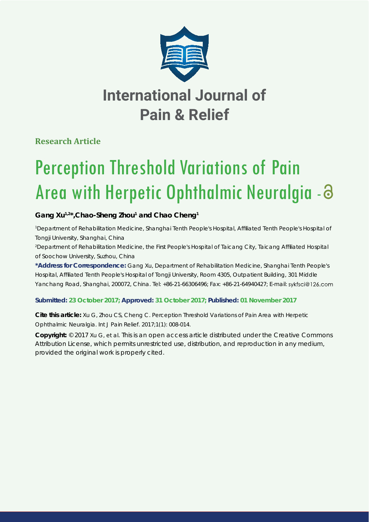

# **International Journal of Pain & Relief**

**Research Article**

# Perception Threshold Variations of Pain Area with Herpetic Ophthalmic Neuralgia -

# Gang Xu<sup>1,2\*</sup>, Chao-Sheng Zhou<sup>1</sup> and Chao Cheng<sup>1</sup>

*1 Department of Rehabilitation Medicine, Shanghai Tenth People's Hospital, Affi liated Tenth People's Hospital of Tongji University, Shanghai, China*

*2 Department of Rehabilitation Medicine, the First People's Hospital of Taicang City, Taicang Affi liated Hospital of Soochow University, Suzhou, China*

**\*Address for Correspondence:** Gang Xu, Department of Rehabilitation Medicine, Shanghai Tenth People's Hospital, Affiliated Tenth People's Hospital of Tongji University, Room 4305, Outpatient Building, 301 Middle Yanchang Road, Shanghai, 200072, China. Tel: +86-21-66306496; Fax: +86-21-64940427; E-mail: sykfsci@126.com

# **Submitted: 23 October 2017; Approved: 31 October 2017; Published: 01 November 2017**

**Cite this article:** Xu G, Zhou CS, Cheng C. Perception Threshold Variations of Pain Area with Herpetic Ophthalmic Neuralgia. Int J Pain Relief. 2017;1(1): 008-014.

**Copyright:** © 2017 Xu G, et al. This is an open access article distributed under the Creative Commons Attribution License, which permits unrestricted use, distribution, and reproduction in any medium, provided the original work is properly cited.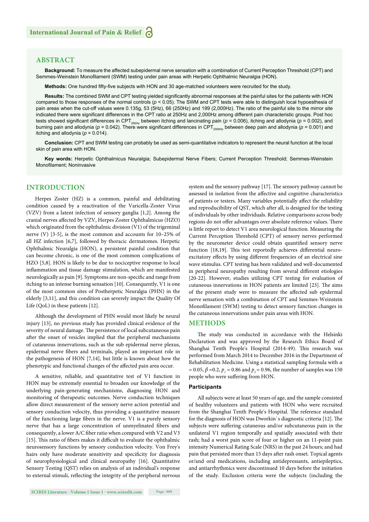#### **ABSTRACT**

**Background:** To measure the affected subepidermal nerve sensation with a combination of Current Perception Threshold (CPT) and Semmes-Weinstein Monofilament (SWM) testing under pain areas with Herpetic Ophthalmic Neuralgia (HON).

Methods: One hundred fifty-five subjects with HON and 30 age-matched volunteers were recruited for the study.

**Results:** The combined SWM and CPT testing yielded significantly abnormal responses at the painful sites for the patients with HON compared to those responses of the normal controls (*p* < 0.05). The SWM and CPT tests were able to distinguish local hypoesthesia of pain areas when the cut-off values were 0.135g, 53 (5Hz), 66 (250Hz) and 199 (2,000Hz). The ratio of the painful site to the mirror site indicated there were significant differences in the CPT ratio at 250Hz and 2,000Hz among different pain characteristic groups. Post hoc tests showed significant differences in CPT<sub>250Hz</sub> between itching and lancinating pain ( $p = 0.006$ ), itching and allodynia ( $p = 0.002$ ), and burning pain and allodynia ( $p = 0.042$ ). There were significant differences in CPT<sub>2000Hz</sub> between deep pain and allodynia ( $p = 0.001$ ) and itching and allodynia  $(p = 0.014)$ .

**Conclusion:** CPT and SWM testing can probably be used as semi-quantitative indicators to represent the neural function at the local skin of pain area with HON.

**Key words:** Herpetic Ophthalmicus Neuralgia; Subepidermal Nerve Fibers; Current Perception Threshold; Semmes-Weinstein Monofilament; Noninvasive

## **INTRODUCTION**

Herpes Zoster (HZ) is a common, painful and debilitating condition caused by a reactivation of the Varicella-Zoster Virus (VZV) from a latent infection of sensory ganglia [1,2]. Among the cranial nerves affected by VZV, Herpes Zoster Ophthalmicus (HZO) which originated from the ophthalmic division (V1) of the trigeminal nerve (V) [3-5], is the most common and accounts for 10–25% of all HZ infection [6,7], followed by thoracic dermatomes. Herpetic Ophthalmic Neuralgia (HON), a persistent painful condition that can become chronic, is one of the most common complications of HZO [5,8]. HON is likely to be due to nociceptive response to local inflammation and tissue damage stimulation, which are manifested neurologically as pain [9]. Symptoms are non-specific and range from itching to an intense burning sensation [10]. Consequently, V1 is one of the most common sites of Postherpetic Neuralgia (PHN) in the elderly [3,11], and this condition can severely impact the Quality Of Life (QoL) in these patients [12].

Although the development of PHN would most likely be neural injury [13], no previous study has provided clinical evidence of the severity of neural damage. The persistence of local subcutaneous pain after the onset of vesicles implied that the peripheral mechanisms of cutaneous innervations, such as the sub epidermal nerve plexus, epidermal nerve fibers and terminals, played an important role in the pathogenesis of HON [7,14], but little is known about how the phenotypic and functional changes of the affected pain area occur.

A sensitive, reliable, and quantitative test of V1 function in HON may be extremely essential to broaden our knowledge of the underlying pain-generating mechanisms, diagnosing HON and monitoring of therapeutic outcomes. Nerve conduction techniques allow direct measurement of the sensory nerve action potential and sensory conduction velocity, thus providing a quantitative measure of the functioning large fibers in the nerve. V1 is a purely sensory nerve that has a large concentration of unmyelinated fibers and consequently, a lower A/C fiber ratio when compared with V2 and V3 [15]. This ratio of fibers makes it difficult to evaluate the ophthalmic neurosensory functions by sensory conduction velocity. Von Frey's hairs only have moderate sensitivity and specificity for diagnosis of neurophysiological and clinical neuropathy [16]. Quantitative Sensory Testing (QST) relies on analysis of an individual's response to external stimuli, reflecting the integrity of the peripheral nervous

**SCIRES Literature - Volume 1 Issue 1 - www.scireslit.com Page -009**

system and the sensory pathway [17]. The sensory pathway cannot be assessed in isolation from the affective and cognitive characteristics of patients or testers. Many variables potentially affect the reliability and reproducibility of QST, which after all, is designed for the testing of individuals by other individuals. Relative comparisons across body regions do not offer advantages over absolute reference values. There is little report to detect V1 area neurological function. Measuring the Current Perception Threshold (CPT) of sensory nerves performed by the neurometer device could obtain quantified sensory nerve function [18,19]. This test reportedly achieves differential neuroexcitatory effects by using different frequencies of an electrical sine wave stimulus. CPT testing has been validated and well-documented in peripheral neuropathy resulting from several different etiologies [20-22]. However, studies utilizing CPT testing for evaluation of cutaneous innervations in HON patients are limited [23]. The aims of the present study were to measure the affected sub epidermal nerve sensation with a combination of CPT and Semmes-Weinstein Monofilament (SWM) testing to detect sensory function changes in the cutaneous innervations under pain areas with HON.

#### **METHODS**

The study was conducted in accordance with the Helsinki Declaration and was approved by the Research Ethics Board of Shanghai Tenth People's Hospital (2014-49). This research was performed from March 2014 to December 2016 in the Department of Rehabilitation Medicine. Using a statistical sampling formula with *α* = 0.05,  $β = 0.2$ ,  $p_1 = 0.86$  and  $p_2 = 0.96$ , the number of samples was 150 people who were suffering from HON.

#### **Participants**

All subjects were at least 50 years of age, and the sample consisted of healthy volunteers and patients with HON who were recruited from the Shanghai Tenth People's Hospital. The reference standard for the diagnosis of HON was Dworkin's diagnostic criteria [12]. The subjects were suffering cutaneous and/or subcutaneous pain in the unilateral V1 region temporally and spatially associated with their rash; had a worst pain score of four or higher on an 11-point pain intensity Numerical Rating Scale (NRS) in the past 24 hours; and had pain that persisted more than 15 days after rash onset. Topical agents or/and oral medications, including antidepressants, antiepileptics, and antiarrhythmics were discontinued 10 days before the initiation of the study. Exclusion criteria were the subjects (including the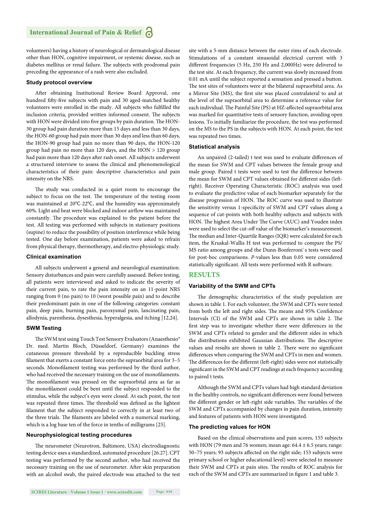volunteers) having a history of neurological or dermatological disease other than HON, cognitive impairment, or systemic disease, such as diabetes mellitus or renal failure. The subjects with prodromal pain preceding the appearance of a rash were also excluded.

#### **Study protocol overview**

After obtaining Institutional Review Board Approval, one hundred fifty-five subjects with pain and 30 aged-matched healthy volunteers were enrolled in the study. All subjects who fulfilled the inclusion criteria, provided written informed consent. The subjects with HON were divided into five groups by pain duration. The HON-30 group had pain duration more than 15 days and less than 30 days, the HON-60 group had pain more than 30 days and less than 60 days, the HON-90 group had pain no more than 90 days, the HON-120 group had pain no more than 120 days, and the HON > 120 group had pain more than 120 days after rash onset. All subjects underwent a structured interview to assess the clinical and phenomenological characteristics of their pain: descriptive characteristics and pain intensity on the NRS.

The study was conducted in a quiet room to encourage the subject to focus on the test. The temperature of the testing room was maintained at 20℃-22℃, and the humidity was approximately 60%. Light and heat were blocked and indoor airflow was maintained constantly. The procedure was explained to the patient before the test. All testing was performed with subjects in stationary positions (supine) to reduce the possibility of position interference while being tested. One day before examination, patients were asked to refrain from physical therapy, thermotherapy, and electro-physiologic study.

#### **Clinical examination**

All subjects underwent a general and neurological examination. Sensory disturbances and pain were carefully assessed. Before testing, all patients were interviewed and asked to indicate the severity of their current pain, to rate the pain intensity on an 11-point NRS ranging from 0 (no pain) to 10 (worst possible pain) and to describe their predominant pain in one of the following categories: constant pain, deep pain, burning pain, paroxysmal pain, lancinating pain, allodynia, paresthesia, dysesthesia, hyperalgesia, and itching [12,24].

#### **SWM Testing**

The SWM test using Touch Test Sensory Evaluators (Anaesthesio® Dr. med. Martin Bloch, Düsseldorf, Germany) examines the cutaneous pressure threshold by a reproducible buckling stress filament that exerts a constant force onto the supraorbital area for 3-5 seconds. Monofilament testing was performed by the third author, who had received the necessary training on the use of monofilaments. The monofilament was pressed on the supraorbital area as far as the monofilament could be bent until the subject responded to the stimulus, while the subject's eyes were closed. At each point, the test was repeated three times. The threshold was defined as the lightest filament that the subject responded to correctly in at least two of the three trials. The filaments are labeled with a numerical marking, which is a log base ten of the force in tenths of milligrams [25].

#### **Neurophysiological testing procedures**

The neurometer (Neurotron, Baltimore, USA) electrodiagnostic testing device uses a standardized, automated procedure [26.27]. CPT testing was performed by the second author, who had received the necessary training on the use of neurometer. After skin preparation with an alcohol swab, the paired electrode was attached to the test

site with a 5-mm distance between the outer rims of each electrode. Stimulations of a constant sinusoidal electrical current with 3 different frequencies (5 Hz, 250 Hz and 2,000Hz) were delivered to the test site. At each frequency, the current was slowly increased from 0.01 mA until the subject reported a sensation and pressed a button. The test sites of volunteers were at the bilateral supraorbital area. As a Mirror Site (MS), the first site was placed contralateral to and at the level of the supraorbital area to determine a reference value for each individual. The Painful Site (PS) at HZ-affected supraorbital area was marked for quantitative tests of sensory function, avoiding open lesions. To initially familiarize the procedure, the test was performed on the MS to the PS in the subjects with HON. At each point, the test was repeated two times.

#### **Statistical analysis**

An unpaired (2-tailed) t test was used to evaluate differences of the mean for SWM and CPT values between the female group and male group. Paired t tests were used to test the difference between the mean for SWM and CPT values obtained for different sides (leftright). Receiver Operating Characteristic (ROC) analysis was used to evaluate the predictive value of each biomarker separately for the disease progression of HON. The ROC curve was used to illustrate the sensitivity versus 1-specificity of SWM and CPT values along a sequence of cut-points with both healthy subjects and subjects with HON. The highest Area Under The Curve (AUC) and Youden index were used to select the cut-off value of the biomarker's measurement. The median and Inter-Quartile Ranges (IQR) were calculated for each item, the Kruskal-Wallis H test was performed to compare the PS/ MS ratio among groups and the Dunn-Bonferroni`s tests were used for post-hoc comparisons. *P*-values less than 0.05 were considered statistically significant. All tests were performed with R software.

#### **RESULTS**

#### **Variability of the SWM and CPTs**

The demographic characteristics of the study population are shown in table 1. For each volunteer, the SWM and CPTs were tested from both the left and right sides. The means and 95% Confidence Intervals (CI) of the SWM and CPTs are shown in table 2. The first step was to investigate whether there were differences in the SWM and CPTs related to gender and the different sides in which the distributions exhibited Gaussian distributions. The descriptive values and results are shown in table 2. There were no significant differences when comparing the SWM and CPTs in men and women. The differences for the different (left-right) sides were not statistically significant in the SWM and CPT readings at each frequency according to paired t tests.

Although the SWM and CPTs values had high standard deviation in the healthy controls, no significant differences were found between the different gender or left-right side variables. The variables of the SWM and CPTs accompanied by changes in pain duration, intensity and features of patients with HON were investigated.

#### **The predicting values for HON**

Based on the clinical observations and pain scores, 155 subjects with HON (79 men and 76 women; mean age:  $64.4 \pm 6.5$  years; range: 50–75 years; 93 subjects affected on the right side; 153 subjects were primary school or higher educational level) were selected to measure their SWM and CPTs at pain sites. The results of ROC analysis for each of the SWM and CPTs are summarized in figure 1 and table 3.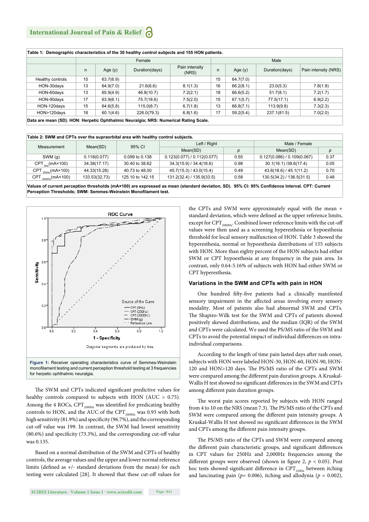|                  |    | Female    |                |                         |    | Male      |                |                      |  |  |
|------------------|----|-----------|----------------|-------------------------|----|-----------|----------------|----------------------|--|--|
|                  | n  | Age $(y)$ | Duration(days) | Pain intensity<br>(NRS) | n  | Age $(y)$ | Duration(days) | Pain intensity (NRS) |  |  |
| Healthy controls | 15 | 63.7(6.9) |                |                         | 15 | 64.7(7.0) |                |                      |  |  |
| HON-30days       | 13 | 64.9(7.0) | 21.6(6.6)      | 8.1(1.3)                | 16 | 66.2(8.1) | 23.0(5.3)      | 7.8(1.9)             |  |  |
| HON-60days       | 13 | 65.9(4.9) | 46.8(10.7)     | 7.2(2.1)                | 18 | 66.6(5.2) | 51.7(8.1)      | 7.2(1.7)             |  |  |
| HON-90days       | 17 | 63.9(6.1) | 75.7(18.6)     | 7.5(2.0)                | 15 | 67.1(5.7) | 77.5(17.1)     | 6.9(2.2)             |  |  |
| HON-120days      | 15 | 64.6(5.8) | 115.0(8.7)     | 6.7(1.8)                | 13 | 66.8(7.1) | 113.9(9.8)     | 7.3(2.3)             |  |  |
| HON>120days      | 18 | 60.1(4.6) | 226.0(79.3)    | 6.8(1.6)                | 17 | 59.2(5.4) | 237.1(81.5)    | 7.0(2.0)             |  |  |

| Table 2: SWM and CPTs over the supraorbital area with healthy control subjects. |                  |                           |      |                             |      |  |  |  |  |  |
|---------------------------------------------------------------------------------|------------------|---------------------------|------|-----------------------------|------|--|--|--|--|--|
|                                                                                 |                  | Left / Right              |      | Male / Female               |      |  |  |  |  |  |
|                                                                                 |                  | Mean(SD)                  | р    | Mean(SD)                    | р    |  |  |  |  |  |
| 0.118(0.077)                                                                    | 0.099 to 0.138   | 0.123(0.077)/0.112(0.077) | 0.55 | 0.127(0.086) / 0.109(0.067) | 0.37 |  |  |  |  |  |
| 34.38(17.17)                                                                    | 30.40 to 38.62   | 34.3(15.9) / 34.4(18.6)   | 0.98 | 30.1(16.1)/38.6(17.4)       | 0.05 |  |  |  |  |  |
| 44.33(15.28)                                                                    | 40.73 to 48.00   | 45.7(15.3) / 43.0(15.4)   | 0.49 | 43.6(18.6)/45.1(11.2)       | 0.70 |  |  |  |  |  |
| 133.53(32.73)                                                                   | 125.10 to 142.15 | 131.2(32.4) / 135.9(33.5) | 0.58 | 130.5(34.2) / 136.5(31.5)   | 0.48 |  |  |  |  |  |
|                                                                                 | Mean(SD)         | 95% CI                    |      |                             |      |  |  |  |  |  |

Values of current perception thresholds (mA×100) are expressed as mean (standard deviation, SD). 95% CI: 95% Confidence Interval. CPT: Current Perception Thresholds; SWM: Semmes-Weinstein Monofilament test.



The SWM and CPTs indicated significant predictive values for healthy controls compared to subjects with HON (AUC > 0.75). Among the 4 ROCs,  $CPT_{2000Hz}$  was identified for predicating healthy controls to HON, and the AUC of the  $CPT_{2000Hz}$  was 0.93 with both high sensitivity (81.9%) and specificity (96.7%), and the corresponding cut-off value was 199. In contrast, the SWM had lowest sensitivity  $(80.6%)$  and specificity  $(73.3%)$ , and the corresponding cut-off value was 0.135.

Based on a normal distribution of the SWM and CPTs of healthy controls, the average values and the upper and lower normal reference limits (defined as  $+/-$  standard deviations from the mean) for each testing were calculated [28]. It showed that these cut-off values for

**SCIRES Literature - Volume 1 Issue 1 - www.scireslit.com Page -011**

the CPTs and SWM were approximately equal with the mean + standard deviation, which were defined as the upper reference limits, except for  $\mathrm{CPT}_{_{2000\mathrm{Hz}}}$  . Combined lower reference limits with the cut-off values were then used as a screening hyperesthesia or hypoesthesia threshold for local sensory malfunction of HON. Table 3 showed the hyperesthesia, normal or hypoesthesia distributions of 155 subjects with HON. More than eighty percent of the HON subjects had either SWM or CPT hypoesthesia at any frequency in the pain area. In contrast, only 0.64-5.16% of subjects with HON had either SWM or CPT hyperesthesia.

#### **Variations in the SWM and CPTs with pain in HON**

One hundred fifty-five patients had a clinically manifested sensory impairment in the affected areas involving every sensory modality. Most of patients also had abnormal SWM and CPTs. The Shapiro-Wilk test for the SWM and CPTs of patients showed positively skewed distributions, and the median (IQR) of the SWM and CPTs were calculated. We used the PS/MS ratio of the SWM and CPTs to avoid the potential impact of individual differences on intraindividual comparisons.

According to the length of time pain lasted days after rash onset, subjects with HON were labeled HON-30, HON-60, HON-90, HON-120 and HON>120 days. The PS/MS ratio of the CPTs and SWM were compared among the different pain duration groups. A Kruskal-Wallis H test showed no significant differences in the SWM and CPTs among different pain duration groups.

The worst pain scores reported by subjects with HON ranged from 4 to 10 on the NRS (mean 7.3). The PS/MS ratio of the CPTs and SWM were compared among the different pain intensity groups. A Kruskal-Wallis H test showed no significant differences in the SWM and CPTs among the different pain intensity groups.

The PS/MS ratio of the CPTs and SWM were compared among the different pain characteristic groups, and significant differences in CPT values for 250Hz and 2,000Hz frequencies among the different groups were observed (shown in figure 2,  $p < 0.05$ ). Post hoc tests showed significant difference in CPT<sub>250Hz</sub> between itching and lancinating pain ( $p= 0.006$ ), itching and allodynia ( $p= 0.002$ ),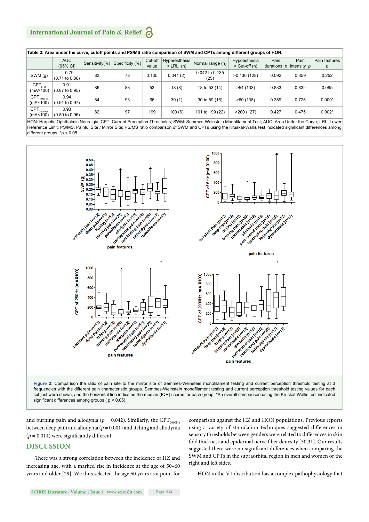# **International Journal of Pain & Relief**

| Table 3: Area under the curve, cutoff points and PS/MS ratio comparison of SWM and CPTs among different groups of HON. |                                   |                |                 |                  |                                |                        |                                 |                                     |       |                    |
|------------------------------------------------------------------------------------------------------------------------|-----------------------------------|----------------|-----------------|------------------|--------------------------------|------------------------|---------------------------------|-------------------------------------|-------|--------------------|
|                                                                                                                        | AUC<br>(95% CI)                   | Sensitivity(%) | Specificity (%) | Cut-off<br>value | Hyperesthesia<br>$<$ LRL $(n)$ | Normal range (n)       | Hypoesthesia<br>$>$ Cut-off (n) | Pain<br>durations $p$ intensity $p$ | Pain  | Pain features<br>p |
| SWM (g)                                                                                                                | 0.79<br>$(0.71 \text{ to } 0.86)$ | 83             | 73              | 0.135            | 0.041(2)                       | 0.042 to 0.135<br>(25) | >0.136(128)                     | 0.092                               | 0.359 | 0.252              |
| $CPT_{5Hz}$<br>$(mA \times 100)$                                                                                       | 0.91<br>$(0.87 \text{ to } 0.95)$ | 86             | 88              | 53               | 18(8)                          | 18 to 53 (14)          | >54(133)                        | 0.833                               | 0.832 | 0.095              |
| $CPT$ <sub>250Hz</sub><br>$(mA \times 100)$                                                                            | 0.94<br>(0.91 to 0.97)            | 84             | 93              | 66               | 30(1)                          | 30 to 59 (16)          | >60(138)                        | 0.359                               | 0.725 | $0.000*$           |
| $CPT_{2000Hz}$<br>$(mA \times 100)$                                                                                    | 0.93<br>$(0.89 \text{ to } 0.96)$ | 82             | 97              | 199              | 100(6)                         | 101 to 199 (22)        | >200(127)                       | 0.427                               | 0.475 | $0.002*$           |

HON: Herpetic Ophthalmic Neuralgia. CPT: Current Perception Thresholds; SWM: Semmes-Weinstein Monofilament Test; AUC: Area Under the Curve; LRL: Lower Reference Limit; PS/MS: Painful Site / Mirror Site; PS/MS ratio comparison of SWM and CPTs using the Kruskal-Wallis test indicated significant differences among different groups, \*p < 0.05.



frequencies with the different pain characteristic groups. Semmes-Weinstein monofilament testing and current perception threshold testing values for each subject were shown, and the horizontal line indicated the median (IQR) scores for each group. \*An overall comparison using the Kruskal-Wallis test indicated significant differences among groups ( $p < 0.05$ ).

and burning pain and allodynia ( $p = 0.042$ ). Similarly, the CPT<sub>2000Hz</sub> between deep pain and allodynia ( $p = 0.001$ ) and itching and allodynia  $(p = 0.014)$  were significantly different.

## **DISCUSSION**

There was a strong correlation between the incidence of HZ and increasing age, with a marked rise in incidence at the age of 50–60 years and older [29]. We thus selected the age 50 years as a point for comparison against the HZ and HON populations. Previous reports using a variety of stimulation techniques suggested differences in sensory thresholds between genders were related to differences in skin fold thickness and epidermal nerve fiber denvsity [30,31]. Our results suggested there were no significant differences when comparing the SWM and CPTs in the supraorbital region in men and women or the right and left sides.

HON in the V1 distribution has a complex pathophysiology that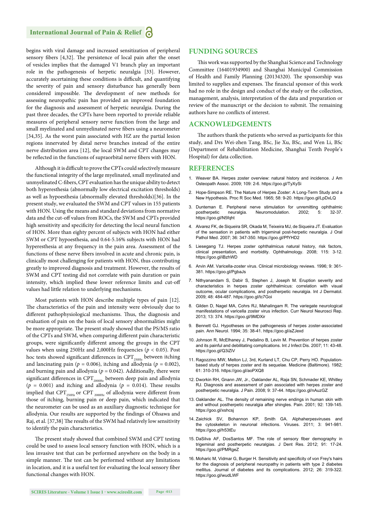begins with viral damage and increased sensitization of peripheral sensory fibers [4,32]. The persistence of local pain after the onset of vesicles implies that the damaged V1 branch play an important role in the pathogenesis of herpetic neuralgia [33]. However, accurately ascertaining these conditions is difficult, and quantifying the severity of pain and sensory disturbance has generally been considered impossible. The development of new methods for assessing neuropathic pain has provided an improved foundation for the diagnosis and assessment of herpetic neuralgia. During the past three decades, the CPTs have been reported to provide reliable measures of peripheral sensory nerve function from the large and small myelinated and unmyelinated nerve fibers using a neurometer [34,35]. As the worst pain associated with HZ are the partial lesion regions innervated by distal nerve branches instead of the entire nerve distribution area [12], the local SWM and CPT changes may be reflected in the functions of supraorbital nerve fibers with HON.

Although it is difficult to prove the CPTs could selectively measure the functional integrity of the large myelinated, small myelinated and unmyelinated C-fibers, CPT evaluation has the unique ability to detect both hyperesthesia (abnormally low electrical excitation thresholds) as well as hypoesthesia (abnormally elevated thresholds)[36]. In the present study, we evaluated the SWM and CPT values in 155 patients with HON. Using the means and standard deviations from normative data and the cut-off values from ROCs, the SWM and CPTs provided high sensitivity and specificity for detecting the local neural function of HON. More than eighty percent of subjects with HON had either SWM or CPT hypoesthesia, and 0.64-5.16% subjects with HON had hyperesthesia at any frequency in the pain area. Assessment of the functions of these nerve fibers involved in acute and chronic pain, is clinically most challenging for patients with HON, thus contributing greatly to improved diagnosis and treatment. However, the results of SWM and CPT testing did not correlate with pain duration or pain intensity, which implied these lower reference limits and cut-off values had little relation to underlying mechanisms.

Most patients with HON describe multiple types of pain [12]. The characteristics of the pain and intensity were obviously due to different pathophysiological mechanisms. Thus, the diagnosis and evaluation of pain on the basis of local sensory abnormalities might be more appropriate. The present study showed that the PS/MS ratio of the CPTs and SWM, when comparing different pain characteristic groups, were significantly different among the groups in the CPT values when using 250Hz and 2,000Hz frequencies (*p* < 0.05). Post hoc tests showed significant differences in  $CPT_{250\text{Hz}}$  between itching and lancinating pain ( $p = 0.006$ ), itching and allodynia ( $p = 0.002$ ), and burning pain and allodynia ( $p = 0.042$ ). Additionally, there were significant differences in  $\mathrm{CPT}_{\mathrm{2000Hz}}$  between deep pain and allodynia  $(p = 0.001)$  and itching and allodynia  $(p = 0.014)$ . These results implied that  $\text{CPT}_{\text{250Hz}}$  or  $\text{CPT}_{\text{2000Hz}}$  of allodynia were different from those of itching, burning pain or deep pain, which indicated that the neurometer can be used as an auxiliary diagnostic technique for allodynia. Our results are supported by the findings of Ohsawa and Raj, et al. [37,38] The results of the SWM had relatively low sensitivity to identify the pain characteristics.

The present study showed that combined SWM and CPT testing could be used to assess local sensory function with HON, which is a less invasive test that can be performed anywhere on the body in a simple manner. The test can be performed without any limitations in location, and it is a useful test for evaluating the local sensory fiber functional changes with HON.

#### **FUNDING SOURCES**

This work was supported by the Shanghai Science and Technology Committee (16401934900) and Shanghai Municipal Commission of Health and Family Planning (20134320). The sponsorship was limited to supplies and expenses. The financial sponsor of this work had no role in the design and conduct of the study or the collection, management, analysis, interpretation of the data and preparation or review of the manuscript or the decision to submit. The remaining authors have no conflicts of interest.

#### **ACKNOWLEDGEMENTS**

The authors thank the patients who served as participants for this study, and Drs Wei-zhen Tang, BSc, Jie Xu, BSc, and Wen Li, BSc (Department of Rehabilitation Medicine, Shanghai Tenth People's Hospital) for data collection.

#### **REFERENCES**

- 1. Weaver BA. Herpes zoster overview: natural history and incidence. J Am Osteopath Assoc. 2009; 109: 2-6. https://goo.gl/TyXySi
- 2. Hope-Simpson RE. The Nature of Herpes Zoster: A Long-Term Study and a New Hypothesis. Proc R Soc Med. 1965; 58: 9-20. https://goo.gl/LpDxLQ
- 3. Dunteman E. Peripheral nerve stimulation for unremitting ophthalmic postherpetic neuralgia. Neuromodulation. 2002; 5: 32-37. https://goo.gl/N5fqht
- 4. Alvarez FK, de Siqueira SR, Okada M, Teixeira MJ, de Siqueira JT. Evaluation of the sensation in patients with trigeminal post-herpetic neuralgia. J Oral Pathol Med. 2007; 36: 347-350. https://goo.gl/PfYHD2
- 5. Liesegang TJ. Herpes zoster ophthalmicus natural history, risk factors, clinical presentation, and morbidity. Ophthalmology. 2008; 115: 3-12. https://goo.gl/iBzhWD
- 6. Arvin AM. Varicella-zoster virus. Clinical microbiology reviews. 1996; 9: 361- 381. https://goo.gl/PgbaJs
- 7. Nithyanandam S, Dabir S, Stephen J, Joseph M. Eruption severity and characteristics in herpes zoster ophthalmicus: correlation with visual outcome, ocular complications, and postherpetic neuralgia. Int J Dermatol. 2009; 48: 484-487. https://goo.gl/tc7Goi
- 8. Gilden D, Nagel MA, Cohrs RJ, Mahalingam R. The variegate neurological manifestations of varicella zoster virus infection. Curr Neurol Neurosci Rep. 2013; 13: 374. https://goo.gl/9MDXir
- 9. Bennett GJ. Hypotheses on the pathogenesis of herpes zoster-associated pain. Ann Neurol. 1994; 35: 38-41. https://goo.gl/aZJexd
- 10. Johnson R, McElhaney J, Pedalino B, Levin M. Prevention of herpes zoster and its painful and debilitating complications. Int J Infect Dis. 2007; 11: 43-48. https://goo.gl/Q3iZiV
- 11. Ragozzino MW, Melton LJ, 3rd, Kurland LT, Chu CP, Perry HO. Populationbased study of herpes zoster and its sequelae. Medicine (Baltimore). 1982; 61: 310-316. https://goo.gl/aoPXQ8
- 12. Dworkin RH, Gnann JW, Jr., Oaklander AL, Raja SN, Schmader KE, Whitley RJ. Diagnosis and assessment of pain associated with herpes zoster and postherpetic neuralgia. J Pain. 2008; 9: 37-44. https://goo.gl/nAuzGZ
- 13. Oaklander AL. The density of remaining nerve endings in human skin with and without postherpetic neuralgia after shingles. Pain. 2001; 92: 139-145. https://goo.gl/xshcsj
- 14. Zaichick SV, Bohannon KP, Smith GA. Alphaherpesviruses and the cytoskeleton in neuronal infections. Viruses. 2011; 3: 941-981. https://goo.gl/h53tEu
- 15. DaSilva AF, DosSantos MF. The role of sensory fiber demography in trigeminal and postherpetic neuralgias. J Dent Res. 2012; 91: 17-24. https://goo.gl/PMRgeZ
- 16. Moharic M, Vidmar G, Burger H. Sensitivity and specificity of von Frey's hairs for the diagnosis of peripheral neuropathy in patients with type 2 diabetes mellitus. Journal of diabetes and its complications. 2012; 26: 319-322. https://goo.gl/wudLWF